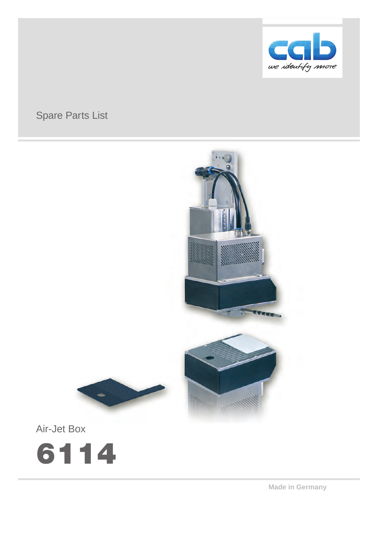

# Spare Parts List







**Made in Germany**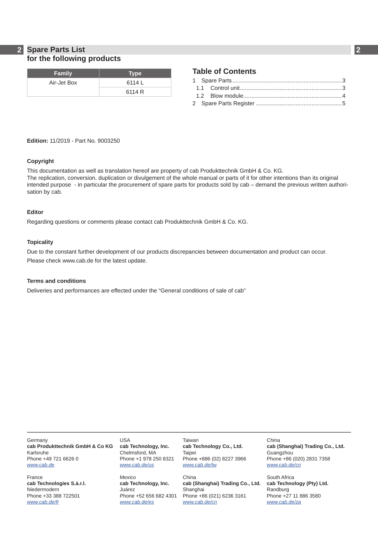## **2 2 Spare Parts List for the following products**

| Family      | <b>Type</b> |
|-------------|-------------|
| Air-Jet Box | 6114 L      |
|             | 6114 R      |

## **Table of Contents**

**Edition:** 11/2019 - Part No. 9003250

### **Copyright**

This documentation as well as translation hereof are property of cab Produkttechnik GmbH & Co. KG. The replication, conversion, duplication or divulgement of the whole manual or parts of it for other intentions than its original intended purpose - in particular the procurement of spare parts for products sold by cab – demand the previous written authorisation by cab.

### **Editor**

Regarding questions or comments please contact cab Produkttechnik GmbH & Co. KG.

### **Topicality**

Due to the constant further development of our products discrepancies between documentation and product can occur. Please check www.cab.de for the latest update.

### **Terms and conditions**

Deliveries and performances are effected under the "General conditions of sale of cab"

**Germany cab Produkttechnik GmbH & Co KG** Karlsruhe Phone +49 721 6626 0 *www.cab.de*

France **cab Technologies S.à.r.l.** Niedermodern Phone +33 388 722501 *www.cab.de/fr*

USA **cab Technology, Inc.** Chelmsford, MA Phone +1 978 250 8321 *www.cab.de/us*

Mexico **cab Technology, Inc.** Juárez Phone +52 656 682 4301 *www.cab.de/es*

Taiwan **cab Technology Co., Ltd.** Taipei Phone +886 (02) 8227 3966 *www.cab.de/tw*

China **cab (Shanghai) Trading Co., Ltd.** Shanghai Phone +86 (021) 6236 3161 *www.cab.de/cn*

China **cab (Shanghai) Trading Co., Ltd. Guangzhou** Phone +86 (020) 2831 7358 *www.cab.de/cn*

South Africa **cab Technology (Pty) Ltd.** Randburg Phone +27 11 886 3580 *www.cab.de/za*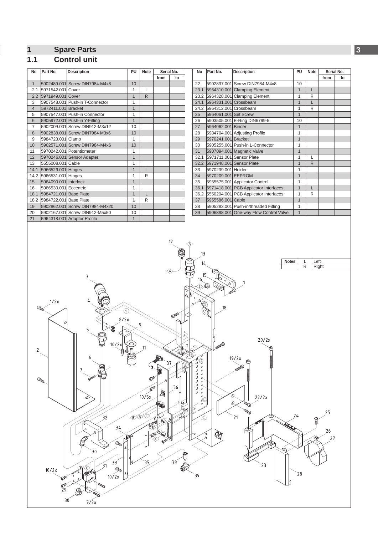# <span id="page-2-0"></span>**2 1 Spare Parts 3**

# **1.1 Control unit**

| No                                                                                                                                                                                                                                                                                                                                                                                                                                                                                                                                                                                                                                                                                                    | Part No.                                            | <b>Description</b>                                            | PU                           | <b>Note</b>  | Serial No.<br>from | to | No       | Part No.                                 | <b>Description</b>                         | PU                           | Note      | Serial No.<br>from | to |
|-------------------------------------------------------------------------------------------------------------------------------------------------------------------------------------------------------------------------------------------------------------------------------------------------------------------------------------------------------------------------------------------------------------------------------------------------------------------------------------------------------------------------------------------------------------------------------------------------------------------------------------------------------------------------------------------------------|-----------------------------------------------------|---------------------------------------------------------------|------------------------------|--------------|--------------------|----|----------|------------------------------------------|--------------------------------------------|------------------------------|-----------|--------------------|----|
| 1                                                                                                                                                                                                                                                                                                                                                                                                                                                                                                                                                                                                                                                                                                     |                                                     | 5902489.001 Screw DIN7984-M4x8                                | 10                           |              |                    |    | 22       | 5902837.001 Screw DIN7984-M4x8           |                                            | 10                           |           |                    |    |
| 2.1                                                                                                                                                                                                                                                                                                                                                                                                                                                                                                                                                                                                                                                                                                   | 5971542.001 Cover                                   |                                                               | $\mathbf{1}$                 | L            |                    |    |          |                                          | 23.1 5964310.001 Clamping Element          | $\mathbf{1}$                 | L         |                    |    |
|                                                                                                                                                                                                                                                                                                                                                                                                                                                                                                                                                                                                                                                                                                       | 2.2 5971949.001 Cover                               | 5907548.001 Push-in T-Connector                               | $\mathbf{1}$<br>$\mathbf{1}$ | $\mathsf{R}$ |                    |    |          | 24.1 5964331.001 Crossbeam               | 23.2 5964328.001 Clamping Element          | $\mathbf{1}$<br>$\mathbf{1}$ | R<br>L    |                    |    |
| 3<br>$\overline{4}$                                                                                                                                                                                                                                                                                                                                                                                                                                                                                                                                                                                                                                                                                   | 5972411.001 Bracket                                 |                                                               | $\mathbf{1}$                 |              |                    |    |          | 24.2 5964312.001 Crossbeam               |                                            | $\mathbf{1}$                 | R         |                    |    |
| 5                                                                                                                                                                                                                                                                                                                                                                                                                                                                                                                                                                                                                                                                                                     |                                                     | 5907547.001 Push-in Connector                                 | $\mathbf{1}$                 |              |                    |    | 25       | 5964061.001 Set Screw                    | $\mathbf{1}$                               |                              |           |                    |    |
| 6                                                                                                                                                                                                                                                                                                                                                                                                                                                                                                                                                                                                                                                                                                     |                                                     | 5905972.001 Push-in Y-Fitting                                 | $\mathbf{1}$                 |              |                    |    | 26       | 5903505.001 E-Ring DIN6799-5             | 10                                         |                              |           |                    |    |
| $\overline{7}$                                                                                                                                                                                                                                                                                                                                                                                                                                                                                                                                                                                                                                                                                        |                                                     | 5902009.001 Screw DIN912-M3x12                                | 10                           |              |                    |    | 27       | 5964062.001 Binder                       |                                            | $\mathbf{1}$                 |           |                    |    |
| 8<br>9                                                                                                                                                                                                                                                                                                                                                                                                                                                                                                                                                                                                                                                                                                | 5984723.001 Clamp                                   | 5902838.001 Screw DIN7984 M3x6                                | 10<br>$\mathbf{1}$           |              |                    |    | 28<br>29 | 5970241.001 Bracket                      | 5984704.001 Adjusting Profile              | $\mathbf{1}$<br>$\mathbf{1}$ |           |                    |    |
| 10                                                                                                                                                                                                                                                                                                                                                                                                                                                                                                                                                                                                                                                                                                    |                                                     | 5902571.001 Screw DIN7984-M4x6                                | 10                           |              |                    |    | 30       |                                          | 5905255.001 Push-in L-Connector            | $\mathbf{1}$                 |           |                    |    |
| 11                                                                                                                                                                                                                                                                                                                                                                                                                                                                                                                                                                                                                                                                                                    |                                                     | 5970242.001 Potentiometer                                     | $\mathbf{1}$                 |              |                    |    | 31       |                                          | 5907094.001 Magnetic Valve                 | $\mathbf{1}$                 |           |                    |    |
| 12                                                                                                                                                                                                                                                                                                                                                                                                                                                                                                                                                                                                                                                                                                    |                                                     | 5970246.001 Sensor Adapter                                    | $\mathbf{1}$                 |              |                    |    |          |                                          | 32.1 5971711.001 Sensor Plate              | $\mathbf{1}$                 | L         |                    |    |
| 13                                                                                                                                                                                                                                                                                                                                                                                                                                                                                                                                                                                                                                                                                                    | 5555008.001 Cable                                   |                                                               | $\mathbf{1}$                 |              |                    |    |          |                                          | 32.2 5971948.001 Sensor Plate              | $\mathbf{1}$                 | ${\sf R}$ |                    |    |
| 14.1                                                                                                                                                                                                                                                                                                                                                                                                                                                                                                                                                                                                                                                                                                  | 5966529.001 Hinges                                  |                                                               | $\mathbf{1}$<br>$\mathbf{1}$ | L            |                    |    | 33       | 5970239.001 Holder<br>5970209.001 EEPROM |                                            | $\mathbf{1}$<br>$\mathbf{1}$ |           |                    |    |
| 15                                                                                                                                                                                                                                                                                                                                                                                                                                                                                                                                                                                                                                                                                                    | 14.2 5966531.001 Hinges<br>5964090.001 Interlock    |                                                               | $\mathbf{1}$                 | R            |                    |    | 34<br>35 |                                          | 5955575.001 Applicator Control             | $\mathbf{1}$                 |           |                    |    |
| 16                                                                                                                                                                                                                                                                                                                                                                                                                                                                                                                                                                                                                                                                                                    | 5966530.001 Eccentric                               |                                                               | $\mathbf{1}$                 |              |                    |    |          |                                          | 36.1 5971418.001 PCB Applicator Interfaces | $\mathbf{1}$                 | L         |                    |    |
| 18.1                                                                                                                                                                                                                                                                                                                                                                                                                                                                                                                                                                                                                                                                                                  | 5984721.001 Base Plate                              |                                                               | $\mathbf{1}$                 | L            |                    |    |          |                                          | 36.2 5550204.001 PCB Applicator Interfaces | $\mathbf{1}$                 | R         |                    |    |
|                                                                                                                                                                                                                                                                                                                                                                                                                                                                                                                                                                                                                                                                                                       | 18.2 5984722.001 Base Plate                         |                                                               | $\mathbf{1}$                 | R            |                    |    | 37       | 5955586.001 Cable                        |                                            | $\mathbf{1}$                 |           |                    |    |
| 19                                                                                                                                                                                                                                                                                                                                                                                                                                                                                                                                                                                                                                                                                                    |                                                     | 5902862.001 Screw DIN7984-M4x20                               | 10                           |              |                    |    | 38       |                                          | 5905283.001 Push-in/threaded Fitting       | $\mathbf{1}$                 |           |                    |    |
| 20<br>21                                                                                                                                                                                                                                                                                                                                                                                                                                                                                                                                                                                                                                                                                              |                                                     | 5902167.001 Screw DIN912-M5x50<br>5964318.001 Adapter Profile | 10<br>$\mathbf{1}$           |              |                    |    | 39       |                                          | 5906898.001 One-way Flow Control Valve     | $\mathbf{1}$                 |           |                    |    |
| 12<br>KB∑<br>13<br>Left<br><b>Notes</b><br>L<br>14<br>R<br>Right<br>15<br>3<br>0<br>16<br>٦p<br>W<br>1/2x<br>۱<br>18<br>$\widehat{A}$<br>8/2x<br>6<br>9<br>5<br>$\begin{array}{c}\n\heartsuit\n\end{array}$<br>20/2x<br>10/2x<br>$\mathsf T$<br>$\circ$<br><b>QUESTION</b><br>11<br>Ҿ<br>2<br>O,<br>ē<br><br>6<br>19/2x<br>37<br>7<br><b>Compa</b><br>36<br>$\mathbb{P}$<br>о<br>à<br>$\cal{O}$<br>10/5x<br>ల<br>$\mathcal{O}$<br>22/2x<br>Á<br>O.<br><b>Report</b><br>25<br>BBC<br>24<br>21<br>32<br>لونگر<br>OPU<br>34<br>26<br>XÒ<br>$D^{p}$<br>27<br>Ф<br>$\mathscr{F}$<br>Outro.<br>$30$<br>38 <sup>2</sup><br>35<br>33 <sup>2</sup><br>10<br>23<br>31<br>$\frac{a}{10/2x}$<br>10/2x<br>28<br>39 |                                                     |                                                               |                              |              |                    |    |          |                                          |                                            |                              |           |                    |    |
|                                                                                                                                                                                                                                                                                                                                                                                                                                                                                                                                                                                                                                                                                                       | $\mathbb{O}^p$<br>$\frac{1}{29}$<br>30 <sup>°</sup> |                                                               |                              |              |                    |    |          |                                          |                                            |                              |           |                    |    |
|                                                                                                                                                                                                                                                                                                                                                                                                                                                                                                                                                                                                                                                                                                       |                                                     | 7/2x                                                          |                              |              |                    |    |          |                                          |                                            |                              |           |                    |    |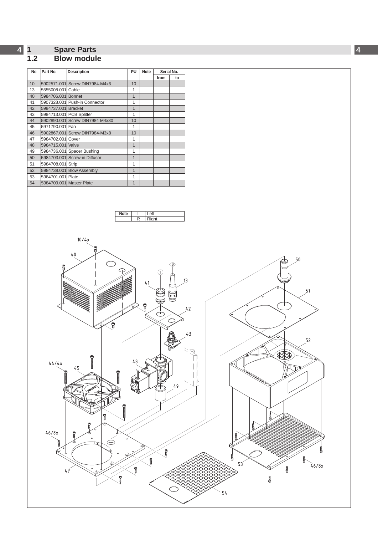#### <span id="page-3-0"></span>**4 1 Spare Parts**

### **1.2 Blow module**

| <b>No</b> | Part No.            | <b>Description</b>              | PU | <b>Note</b> | Serial No. |    |
|-----------|---------------------|---------------------------------|----|-------------|------------|----|
|           |                     |                                 |    |             | from       | to |
| 10        |                     | 5902571.001 Screw DIN7984-M4x6  | 10 |             |            |    |
| 13        | 5555008.001 Cable   |                                 | 1  |             |            |    |
| 40        | 5984706.001 Bonnet  |                                 | 1  |             |            |    |
| 41        |                     | 5907328.001 Push-in Connector   | 1  |             |            |    |
| 42        | 5984737.001 Bracket |                                 | 1  |             |            |    |
| 43        |                     | 5984713.001 PCB Splitter        | 1  |             |            |    |
| 44        |                     | 5902890.001 Screw DIN7984 M4x30 | 10 |             |            |    |
| 45        | 5971790.001 Fan     |                                 | 1  |             |            |    |
| 46        |                     | 5902867.001 Screw DIN7984-M3x8  | 10 |             |            |    |
| 47        | 5984702.001 Cover   |                                 | 1  |             |            |    |
| 48        | 5984715.001 Valve   |                                 | 1  |             |            |    |
| 49        |                     | 5984736.001 Spacer Bushing      | 1  |             |            |    |
| 50        |                     | 5984703.001 Screw-in Diffusor   | 1  |             |            |    |
| 51        | 5984708.001 Strip   |                                 | 1  |             |            |    |
| 52        |                     | 5984738.001 Blow Assembly       | 1  |             |            |    |
| 53        | 5984701.001 Plate   |                                 | 1  |             |            |    |
| 54        |                     | 5984709.001 Master Plate        | 1  |             |            |    |



**4**